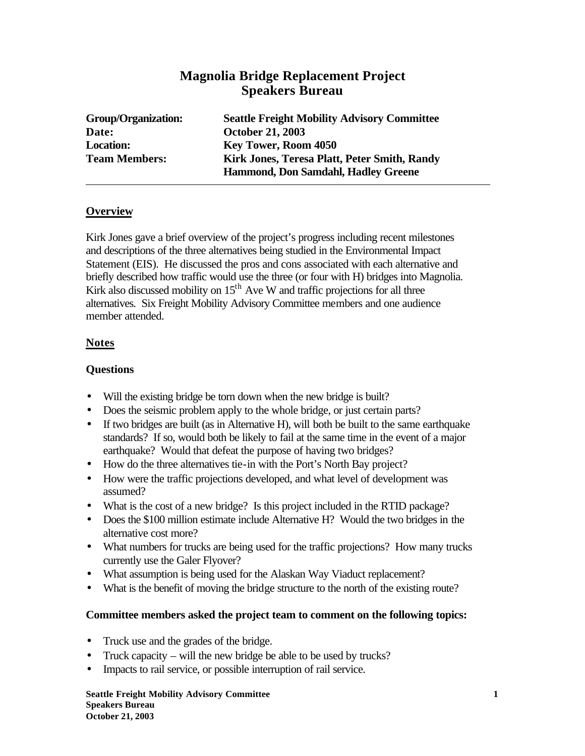# **Magnolia Bridge Replacement Project Speakers Bureau**

| <b>Group/Organization:</b> | <b>Seattle Freight Mobility Advisory Committee</b> |
|----------------------------|----------------------------------------------------|
| Date:                      | <b>October 21, 2003</b>                            |
| <b>Location:</b>           | <b>Key Tower, Room 4050</b>                        |
| <b>Team Members:</b>       | Kirk Jones, Teresa Platt, Peter Smith, Randy       |
|                            | Hammond, Don Samdahl, Hadley Greene                |

### **Overview**

Kirk Jones gave a brief overview of the project's progress including recent milestones and descriptions of the three alternatives being studied in the Environmental Impact Statement (EIS). He discussed the pros and cons associated with each alternative and briefly described how traffic would use the three (or four with H) bridges into Magnolia. Kirk also discussed mobility on  $15<sup>th</sup>$  Ave W and traffic projections for all three alternatives. Six Freight Mobility Advisory Committee members and one audience member attended.

### **Notes**

### **Questions**

- Will the existing bridge be torn down when the new bridge is built?
- Does the seismic problem apply to the whole bridge, or just certain parts?
- If two bridges are built (as in Alternative H), will both be built to the same earthquake standards? If so, would both be likely to fail at the same time in the event of a major earthquake? Would that defeat the purpose of having two bridges?
- How do the three alternatives tie-in with the Port's North Bay project?
- How were the traffic projections developed, and what level of development was assumed?
- What is the cost of a new bridge? Is this project included in the RTID package?
- Does the \$100 million estimate include Alternative H? Would the two bridges in the alternative cost more?
- What numbers for trucks are being used for the traffic projections? How many trucks currently use the Galer Flyover?
- What assumption is being used for the Alaskan Way Viaduct replacement?
- What is the benefit of moving the bridge structure to the north of the existing route?

#### **Committee members asked the project team to comment on the following topics:**

- Truck use and the grades of the bridge.
- Truck capacity will the new bridge be able to be used by trucks?
- Impacts to rail service, or possible interruption of rail service.